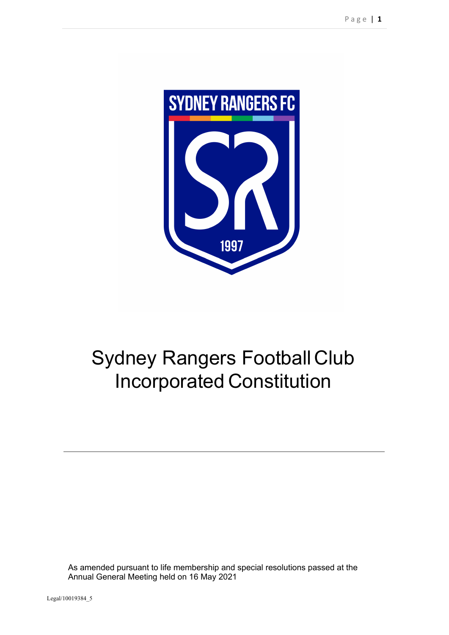

# Sydney Rangers Football Club Incorporated Constitution

As amended pursuant to life membership and special resolutions passed at the Annual General Meeting held on 16 May 2021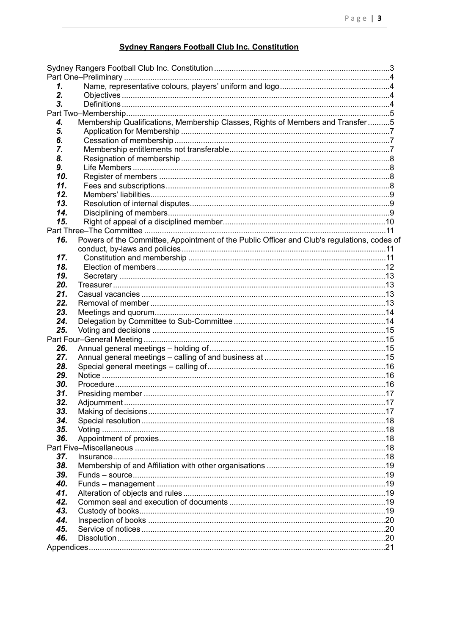## <span id="page-2-0"></span>**Sydney Rangers Football Club Inc. Constitution**

| 1.  |                                                                                             |  |
|-----|---------------------------------------------------------------------------------------------|--|
| 2.  |                                                                                             |  |
| 3.  |                                                                                             |  |
|     |                                                                                             |  |
| 4.  | Membership Qualifications, Membership Classes, Rights of Members and Transfer5              |  |
| 5.  |                                                                                             |  |
| 6.  |                                                                                             |  |
| 7.  |                                                                                             |  |
| 8.  |                                                                                             |  |
| 9.  |                                                                                             |  |
| 10. |                                                                                             |  |
| 11. |                                                                                             |  |
| 12. |                                                                                             |  |
| 13. |                                                                                             |  |
| 14. |                                                                                             |  |
| 15. |                                                                                             |  |
|     |                                                                                             |  |
| 16. | Powers of the Committee, Appointment of the Public Officer and Club's regulations, codes of |  |
|     |                                                                                             |  |
| 17. |                                                                                             |  |
| 18. |                                                                                             |  |
| 19. |                                                                                             |  |
| 20. |                                                                                             |  |
| 21. |                                                                                             |  |
| 22. |                                                                                             |  |
| 23. |                                                                                             |  |
| 24. |                                                                                             |  |
| 25. |                                                                                             |  |
|     |                                                                                             |  |
| 26. |                                                                                             |  |
| 27. |                                                                                             |  |
| 28. |                                                                                             |  |
| 29. |                                                                                             |  |
| 30. |                                                                                             |  |
| 31. |                                                                                             |  |
| 32. |                                                                                             |  |
| 33. |                                                                                             |  |
| 34. |                                                                                             |  |
| 35. |                                                                                             |  |
| 36. |                                                                                             |  |
|     |                                                                                             |  |
| 37. |                                                                                             |  |
| 38. |                                                                                             |  |
| 39. |                                                                                             |  |
| 40. |                                                                                             |  |
| 41. |                                                                                             |  |
| 42. |                                                                                             |  |
| 43. |                                                                                             |  |
| 44. |                                                                                             |  |
| 45. |                                                                                             |  |
| 46. |                                                                                             |  |
|     |                                                                                             |  |
|     |                                                                                             |  |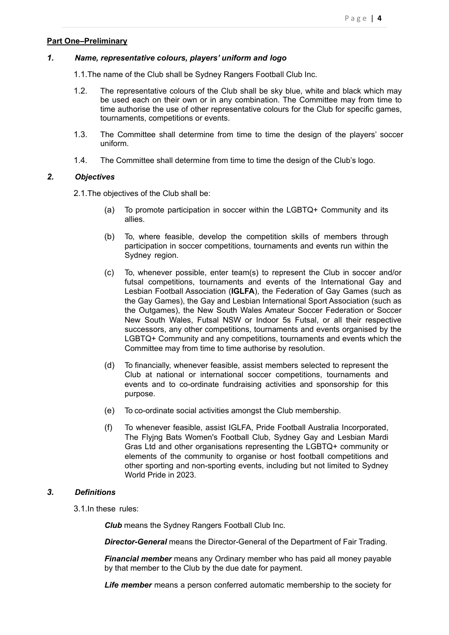### <span id="page-3-0"></span>**Part One–Preliminary**

#### *1. Name, representative colours, players' uniform and logo*

- <span id="page-3-1"></span>1.1.The name of the Club shall be Sydney Rangers Football Club Inc.
- 1.2. The representative colours of the Club shall be sky blue, white and black which may be used each on their own or in any combination. The Committee may from time to time authorise the use of other representative colours for the Club for specific games, tournaments, competitions or events.
- 1.3. The Committee shall determine from time to time the design of the players' soccer uniform.
- <span id="page-3-2"></span>1.4. The Committee shall determine from time to time the design of the Club's logo.

#### *2. Objectives*

2.1.The objectives of the Club shall be:

- (a) To promote participation in soccer within the LGBTQ+ Community and its allies.
- (b) To, where feasible, develop the competition skills of members through participation in soccer competitions, tournaments and events run within the Sydney region.
- (c) To, whenever possible, enter team(s) to represent the Club in soccer and/or futsal competitions, tournaments and events of the International Gay and Lesbian Football Association (**IGLFA**), the Federation of Gay Games (such as the Gay Games), the Gay and Lesbian International Sport Association (such as the Outgames), the New South Wales Amateur Soccer Federation or Soccer New South Wales, Futsal NSW or Indoor 5s Futsal, or all their respective successors, any other competitions, tournaments and events organised by the LGBTQ+ Community and any competitions, tournaments and events which the Committee may from time to time authorise by resolution.
- (d) To financially, whenever feasible, assist members selected to represent the Club at national or international soccer competitions, tournaments and events and to co-ordinate fundraising activities and sponsorship for this purpose.
- (e) To co-ordinate social activities amongst the Club membership.
- (f) To whenever feasible, assist IGLFA, Pride Football Australia Incorporated, The Flyjng Bats Women's Football Club, Sydney Gay and Lesbian Mardi Gras Ltd and other organisations representing the LGBTQ+ community or elements of the community to organise or host football competitions and other sporting and non-sporting events, including but not limited to Sydney World Pride in 2023.

### *3. Definitions*

<span id="page-3-3"></span>3.1.In these rules:

*Club* means the Sydney Rangers Football Club Inc.

*Director-General* means the Director-General of the Department of Fair Trading.

*Financial member* means any Ordinary member who has paid all money payable by that member to the Club by the due date for payment.

*Life member* means a person conferred automatic membership to the society for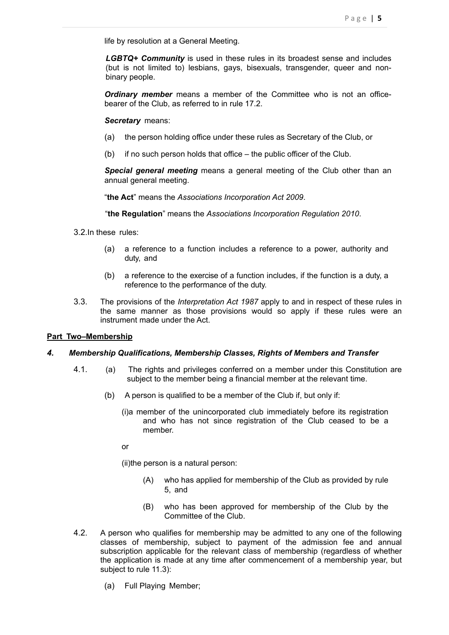life by resolution at a General Meeting.

*LGBTQ+ Community* is used in these rules in its broadest sense and includes (but is not limited to) lesbians, gays, bisexuals, transgender, queer and nonbinary people.

*Ordinary member* means a member of the Committee who is not an officebearer of the Club, as referred to in rule 17.2.

#### *Secretary* means:

- (a) the person holding office under these rules as Secretary of the Club, or
- (b) if no such person holds that office the public officer of the Club.

*Special general meeting* means a general meeting of the Club other than an annual general meeting.

"**the Act**" means the *Associations Incorporation Act 2009*.

"**the Regulation**" means the *Associations Incorporation Regulation 2010*.

- 3.2.In these rules:
	- (a) a reference to a function includes a reference to a power, authority and duty, and
	- (b) a reference to the exercise of a function includes, if the function is a duty, a reference to the performance of the duty.
- 3.3. The provisions of the *Interpretation Act 1987* apply to and in respect of these rules in the same manner as those provisions would so apply if these rules were an instrument made under the Act.

### <span id="page-4-0"></span>**Part Two–Membership**

### *4. Membership Qualifications, Membership Classes, Rights of Members and Transfer*

- <span id="page-4-1"></span>4.1. (a) The rights and privileges conferred on a member under this Constitution are subject to the member being a financial member at the relevant time.
	- (b) A person is qualified to be a member of the Club if, but only if:
		- (i)a member of the unincorporated club immediately before its registration and who has not since registration of the Club ceased to be a member.

or

(ii)the person is a natural person:

- (A) who has applied for membership of the Club as provided by rule 5, and
- (B) who has been approved for membership of the Club by the Committee of the Club.
- 4.2. A person who qualifies for membership may be admitted to any one of the following classes of membership, subject to payment of the admission fee and annual subscription applicable for the relevant class of membership (regardless of whether the application is made at any time after commencement of a membership year, but subject to rule [11.3](#page-7-4)):
	- (a) Full Playing Member;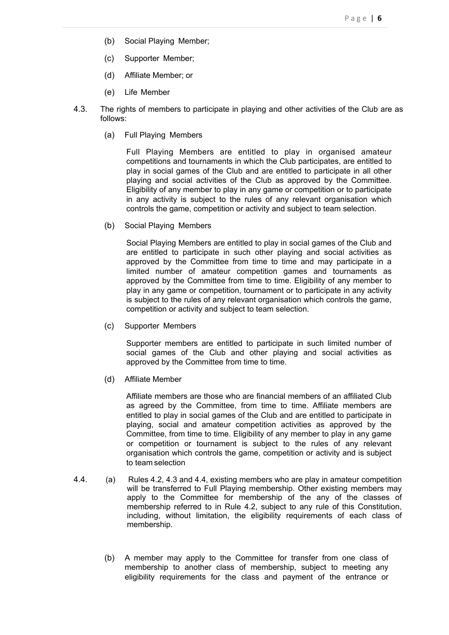- (b) Social Playing Member;
- (c) Supporter Member;
- (d) Affiliate Member; or
- (e) Life Member
- 4.3. The rights of members to participate in playing and other activities of the Club are as follows:
	- (a) Full Playing Members

Full Playing Members are entitled to play in organised amateur competitions and tournaments in which the Club participates, are entitled to play in social games of the Club and are entitled to participate in all other playing and social activities of the Club as approved by the Committee. Eligibility of any member to play in any game or competition or to participate in any activity is subject to the rules of any relevant organisation which controls the game, competition or activity and subject to team selection.

(b) Social Playing Members

Social Playing Members are entitled to play in social games of the Club and are entitled to participate in such other playing and social activities as approved by the Committee from time to time and may participate in a limited number of amateur competition games and tournaments as approved by the Committee from time to time. Eligibility of any member to play in any game or competition, tournament or to participate in any activity is subject to the rules of any relevant organisation which controls the game, competition or activity and subject to team selection.

(c) Supporter Members

Supporter members are entitled to participate in such limited number of social games of the Club and other playing and social activities as approved by the Committee from time to time.

(d) Affiliate Member

Affiliate members are those who are financial members of an affiliated Club as agreed by the Committee, from time to time. Affiliate members are entitled to play in social games of the Club and are entitled to participate in playing, social and amateur competition activities as approved by the Committee, from time to time. Eligibility of any member to play in any game or competition or tournament is subject to the rules of any relevant organisation which controls the game, competition or activity and is subject to team selection

- 4.4. (a) Rules 4.2, 4.3 and 4.4, existing members who are play in amateur competition will be transferred to Full Playing membership. Other existing members may apply to the Committee for membership of the any of the classes of membership referred to in Rule 4.2, subject to any rule of this Constitution, including, without limitation, the eligibility requirements of each class of membership.
	- (b) A member may apply to the Committee for transfer from one class of membership to another class of membership, subject to meeting any eligibility requirements for the class and payment of the entrance or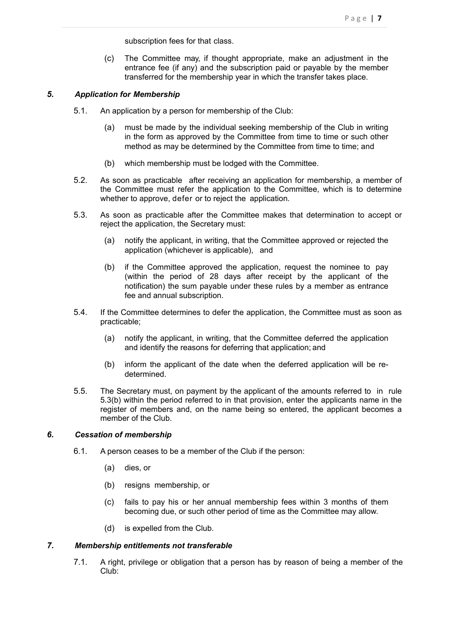subscription fees for that class.

(c) The Committee may, if thought appropriate, make an adjustment in the entrance fee (if any) and the subscription paid or payable by the member transferred for the membership year in which the transfer takes place.

## *5. Application for Membership*

- <span id="page-6-0"></span>5.1. An application by a person for membership of the Club:
	- (a) must be made by the individual seeking membership of the Club in writing in the form as approved by the Committee from time to time or such other method as may be determined by the Committee from time to time; and
	- (b) which membership must be lodged with the Committee.
- 5.2. As soon as practicable after receiving an application for membership, a member of the Committee must refer the application to the Committee, which is to determine whether to approve, defer or to reject the application.
- 5.3. As soon as practicable after the Committee makes that determination to accept or reject the application, the Secretary must:
	- (a) notify the applicant, in writing, that the Committee approved or rejected the application (whichever is applicable), and
	- (b) if the Committee approved the application, request the nominee to pay (within the period of 28 days after receipt by the applicant of the notification) the sum payable under these rules by a member as entrance fee and annual subscription.
- 5.4. If the Committee determines to defer the application, the Committee must as soon as practicable;
	- (a) notify the applicant, in writing, that the Committee deferred the application and identify the reasons for deferring that application; and
	- (b) inform the applicant of the date when the deferred application will be redetermined.
- 5.5. The Secretary must, on payment by the applicant of the amounts referred to in rule 5.3(b) within the period referred to in that provision, enter the applicants name in the register of members and, on the name being so entered, the applicant becomes a member of the Club.

## *6. Cessation of membership*

- <span id="page-6-1"></span>6.1. A person ceases to be a member of the Club if the person:
	- (a) dies, or
	- (b) resigns membership, or
	- (c) fails to pay his or her annual membership fees within 3 months of them becoming due, or such other period of time as the Committee may allow.
	- (d) is expelled from the Club.

### *7. Membership entitlements not transferable*

<span id="page-6-2"></span>7.1. A right, privilege or obligation that a person has by reason of being a member of the Club: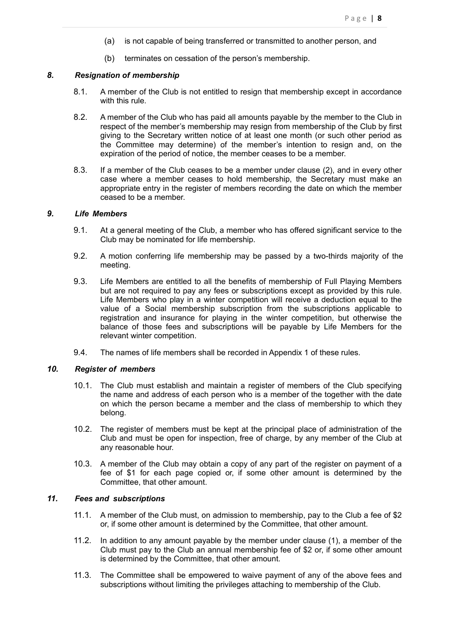- (a) is not capable of being transferred or transmitted to another person, and
- (b) terminates on cessation of the person's membership.

#### *8. Resignation of membership*

- <span id="page-7-0"></span>8.1. A member of the Club is not entitled to resign that membership except in accordance with this rule.
- 8.2. A member of the Club who has paid all amounts payable by the member to the Club in respect of the member's membership may resign from membership of the Club by first giving to the Secretary written notice of at least one month (or such other period as the Committee may determine) of the member's intention to resign and, on the expiration of the period of notice, the member ceases to be a member.
- 8.3. If a member of the Club ceases to be a member under clause (2), and in every other case where a member ceases to hold membership, the Secretary must make an appropriate entry in the register of members recording the date on which the member ceased to be a member.

## *9. Life Members*

- <span id="page-7-1"></span>9.1. At a general meeting of the Club, a member who has offered significant service to the Club may be nominated for life membership.
- 9.2. A motion conferring life membership may be passed by a two-thirds majority of the meeting.
- 9.3. Life Members are entitled to all the benefits of membership of Full Playing Members but are not required to pay any fees or subscriptions except as provided by this rule. Life Members who play in a winter competition will receive a deduction equal to the value of a Social membership subscription from the subscriptions applicable to registration and insurance for playing in the winter competition, but otherwise the balance of those fees and subscriptions will be payable by Life Members for the relevant winter competition.
- <span id="page-7-2"></span>9.4. The names of life members shall be recorded in Appendix 1 of these rules.

### *10. Register of members*

- 10.1. The Club must establish and maintain a register of members of the Club specifying the name and address of each person who is a member of the together with the date on which the person became a member and the class of membership to which they belong.
- 10.2. The register of members must be kept at the principal place of administration of the Club and must be open for inspection, free of charge, by any member of the Club at any reasonable hour.
- 10.3. A member of the Club may obtain a copy of any part of the register on payment of a fee of \$1 for each page copied or, if some other amount is determined by the Committee, that other amount.

## *11. Fees and subscriptions*

- <span id="page-7-3"></span>11.1. A member of the Club must, on admission to membership, pay to the Club a fee of \$2 or, if some other amount is determined by the Committee, that other amount.
- 11.2. In addition to any amount payable by the member under clause (1), a member of the Club must pay to the Club an annual membership fee of \$2 or, if some other amount is determined by the Committee, that other amount.
- <span id="page-7-4"></span>11.3. The Committee shall be empowered to waive payment of any of the above fees and subscriptions without limiting the privileges attaching to membership of the Club.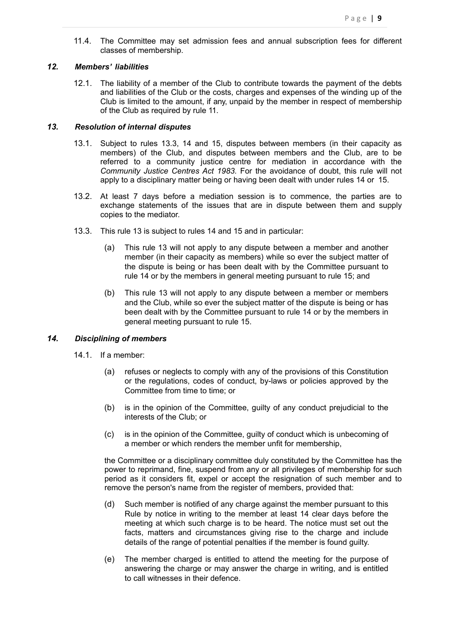11.4. The Committee may set admission fees and annual subscription fees for different classes of membership.

#### *12. Members' liabilities*

<span id="page-8-0"></span>12.1. The liability of a member of the Club to contribute towards the payment of the debts and liabilities of the Club or the costs, charges and expenses of the winding up of the Club is limited to the amount, if any, unpaid by the member in respect of membership of the Club as required by rule 11.

#### *13. Resolution of internal disputes*

- <span id="page-8-1"></span>13.1. Subject to rules 13.3, 14 and 15, disputes between members (in their capacity as members) of the Club, and disputes between members and the Club, are to be referred to a community justice centre for mediation in accordance with the *Community Justice Centres Act 1983.* For the avoidance of doubt, this rule will not apply to a disciplinary matter being or having been dealt with under rules 14 or 15.
- 13.2. At least 7 days before a mediation session is to commence, the parties are to exchange statements of the issues that are in dispute between them and supply copies to the mediator.
- 13.3. This rule 13 is subject to rules 14 and 15 and in particular:
	- (a) This rule 13 will not apply to any dispute between a member and another member (in their capacity as members) while so ever the subject matter of the dispute is being or has been dealt with by the Committee pursuant to rule 14 or by the members in general meeting pursuant to rule 15; and
	- (b) This rule 13 will not apply to any dispute between a member or members and the Club, while so ever the subject matter of the dispute is being or has been dealt with by the Committee pursuant to rule 14 or by the members in general meeting pursuant to rule 15.

## *14. Disciplining of members*

- <span id="page-8-2"></span>14.1. If a member:
	- (a) refuses or neglects to comply with any of the provisions of this Constitution or the regulations, codes of conduct, by-laws or policies approved by the Committee from time to time; or
	- (b) is in the opinion of the Committee, guilty of any conduct prejudicial to the interests of the Club; or
	- (c) is in the opinion of the Committee, guilty of conduct which is unbecoming of a member or which renders the member unfit for membership,

the Committee or a disciplinary committee duly constituted by the Committee has the power to reprimand, fine, suspend from any or all privileges of membership for such period as it considers fit, expel or accept the resignation of such member and to remove the person's name from the register of members, provided that:

- (d) Such member is notified of any charge against the member pursuant to this Rule by notice in writing to the member at least 14 clear days before the meeting at which such charge is to be heard. The notice must set out the facts, matters and circumstances giving rise to the charge and include details of the range of potential penalties if the member is found guilty.
- (e) The member charged is entitled to attend the meeting for the purpose of answering the charge or may answer the charge in writing, and is entitled to call witnesses in their defence.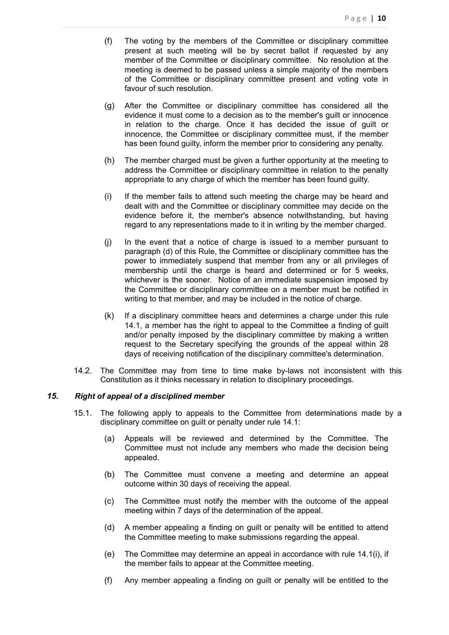- (f) The voting by the members of the Committee or disciplinary committee present at such meeting will be by secret ballot if requested by any member of the Committee or disciplinary committee. No resolution at the meeting is deemed to be passed unless a simple majority of the members of the Committee or disciplinary committee present and voting vote in favour of such resolution.
- (g) After the Committee or disciplinary committee has considered all the evidence it must come to a decision as to the member's guilt or innocence in relation to the charge. Once it has decided the issue of guilt or innocence, the Committee or disciplinary committee must, if the member has been found guilty, inform the member prior to considering any penalty.
- (h) The member charged must be given a further opportunity at the meeting to address the Committee or disciplinary committee in relation to the penalty appropriate to any charge of which the member has been found guilty.
- (i) If the member fails to attend such meeting the charge may be heard and dealt with and the Committee or disciplinary committee may decide on the evidence before it, the member's absence notwithstanding, but having regard to any representations made to it in writing by the member charged.
- (j) In the event that a notice of charge is issued to a member pursuant to paragraph (d) of this Rule, the Committee or disciplinary committee has the power to immediately suspend that member from any or all privileges of membership until the charge is heard and determined or for 5 weeks, whichever is the sooner. Notice of an immediate suspension imposed by the Committee or disciplinary committee on a member must be notified in writing to that member, and may be included in the notice of charge.
- (k) If a disciplinary committee hears and determines a charge under this rule 14.1, a member has the right to appeal to the Committee a finding of guilt and/or penalty imposed by the disciplinary committee by making a written request to the Secretary specifying the grounds of the appeal within 28 days of receiving notification of the disciplinary committee's determination.
- 14.2. The Committee may from time to time make by-laws not inconsistent with this Constitution as it thinks necessary in relation to disciplinary proceedings.

#### *15. Right of appeal of a disciplined member*

- <span id="page-9-0"></span>15.1. The following apply to appeals to the Committee from determinations made by a disciplinary committee on guilt or penalty under rule 14.1:
	- (a) Appeals will be reviewed and determined by the Committee. The Committee must not include any members who made the decision being appealed.
	- (b) The Committee must convene a meeting and determine an appeal outcome within 30 days of receiving the appeal.
	- (c) The Committee must notify the member with the outcome of the appeal meeting within 7 days of the determination of the appeal.
	- (d) A member appealing a finding on guilt or penalty will be entitled to attend the Committee meeting to make submissions regarding the appeal.
	- (e) The Committee may determine an appeal in accordance with rule 14.1(i), if the member fails to appear at the Committee meeting.
	- (f) Any member appealing a finding on guilt or penalty will be entitled to the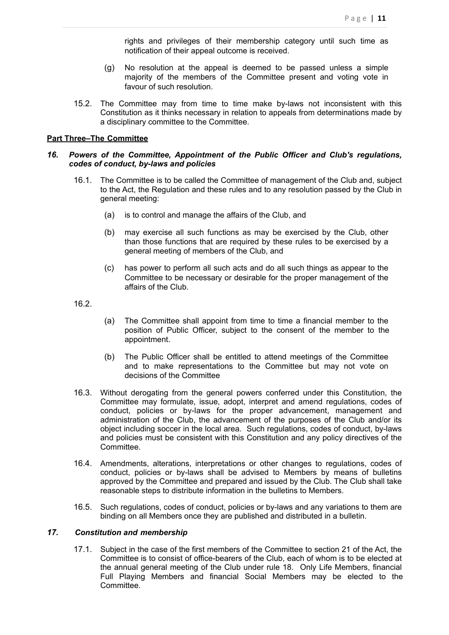rights and privileges of their membership category until such time as notification of their appeal outcome is received.

- (g) No resolution at the appeal is deemed to be passed unless a simple majority of the members of the Committee present and voting vote in favour of such resolution.
- 15.2. The Committee may from time to time make by-laws not inconsistent with this Constitution as it thinks necessary in relation to appeals from determinations made by a disciplinary committee to the Committee.

### <span id="page-10-0"></span>**Part Three–The Committee**

#### <span id="page-10-1"></span>*16. Powers of the Committee, Appointment of the Public Officer and Club's regulations, codes of conduct, by-laws and policies*

- 16.1. The Committee is to be called the Committee of management of the Club and, subject to the Act, the Regulation and these rules and to any resolution passed by the Club in general meeting:
	- (a) is to control and manage the affairs of the Club, and
	- (b) may exercise all such functions as may be exercised by the Club, other than those functions that are required by these rules to be exercised by a general meeting of members of the Club, and
	- (c) has power to perform all such acts and do all such things as appear to the Committee to be necessary or desirable for the proper management of the affairs of the Club.

16.2.

- (a) The Committee shall appoint from time to time a financial member to the position of Public Officer, subject to the consent of the member to the appointment.
- (b) The Public Officer shall be entitled to attend meetings of the Committee and to make representations to the Committee but may not vote on decisions of the Committee
- 16.3. Without derogating from the general powers conferred under this Constitution, the Committee may formulate, issue, adopt, interpret and amend regulations, codes of conduct, policies or by-laws for the proper advancement, management and administration of the Club, the advancement of the purposes of the Club and/or its object including soccer in the local area. Such regulations, codes of conduct, by-laws and policies must be consistent with this Constitution and any policy directives of the Committee.
- 16.4. Amendments, alterations, interpretations or other changes to regulations, codes of conduct, policies or by-laws shall be advised to Members by means of bulletins approved by the Committee and prepared and issued by the Club. The Club shall take reasonable steps to distribute information in the bulletins to Members.
- 16.5. Such regulations, codes of conduct, policies or by-laws and any variations to them are binding on all Members once they are published and distributed in a bulletin.

### *17. Constitution and membership*

<span id="page-10-2"></span>17.1. Subject in the case of the first members of the Committee to section 21 of the Act, the Committee is to consist of office-bearers of the Club, each of whom is to be elected at the annual general meeting of the Club under rule 18. Only Life Members, financial Full Playing Members and financial Social Members may be elected to the Committee.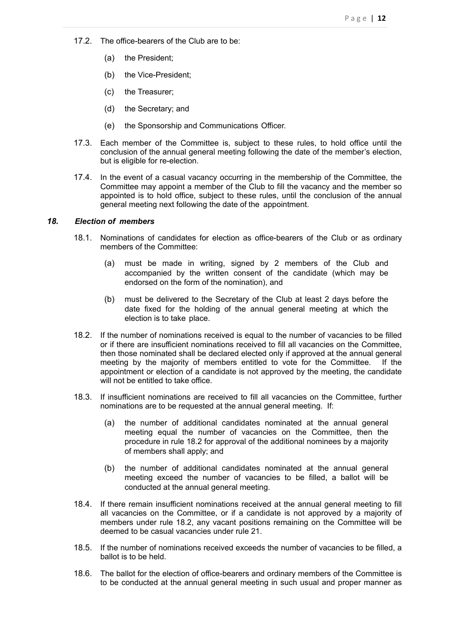- 17.2. The office-bearers of the Club are to be:
	- (a) the President;
	- (b) the Vice-President;
	- (c) the Treasurer;
	- (d) the Secretary; and
	- (e) the Sponsorship and Communications Officer.
- 17.3. Each member of the Committee is, subject to these rules, to hold office until the conclusion of the annual general meeting following the date of the member's election, but is eligible for re-election.
- 17.4. In the event of a casual vacancy occurring in the membership of the Committee, the Committee may appoint a member of the Club to fill the vacancy and the member so appointed is to hold office, subject to these rules, until the conclusion of the annual general meeting next following the date of the appointment.

#### *18. Election of members*

- <span id="page-11-0"></span>18.1. Nominations of candidates for election as office-bearers of the Club or as ordinary members of the Committee:
	- (a) must be made in writing, signed by 2 members of the Club and accompanied by the written consent of the candidate (which may be endorsed on the form of the nomination), and
	- (b) must be delivered to the Secretary of the Club at least 2 days before the date fixed for the holding of the annual general meeting at which the election is to take place.
- 18.2. If the number of nominations received is equal to the number of vacancies to be filled or if there are insufficient nominations received to fill all vacancies on the Committee, then those nominated shall be declared elected only if approved at the annual general meeting by the majority of members entitled to vote for the Committee. If the appointment or election of a candidate is not approved by the meeting, the candidate will not be entitled to take office.
- 18.3. If insufficient nominations are received to fill all vacancies on the Committee, further nominations are to be requested at the annual general meeting. If:
	- (a) the number of additional candidates nominated at the annual general meeting equal the number of vacancies on the Committee, then the procedure in rule 18.2 for approval of the additional nominees by a majority of members shall apply; and
	- (b) the number of additional candidates nominated at the annual general meeting exceed the number of vacancies to be filled, a ballot will be conducted at the annual general meeting.
- 18.4. If there remain insufficient nominations received at the annual general meeting to fill all vacancies on the Committee, or if a candidate is not approved by a majority of members under rule 18.2, any vacant positions remaining on the Committee will be deemed to be casual vacancies under rule 21.
- 18.5. If the number of nominations received exceeds the number of vacancies to be filled, a ballot is to be held.
- 18.6. The ballot for the election of office-bearers and ordinary members of the Committee is to be conducted at the annual general meeting in such usual and proper manner as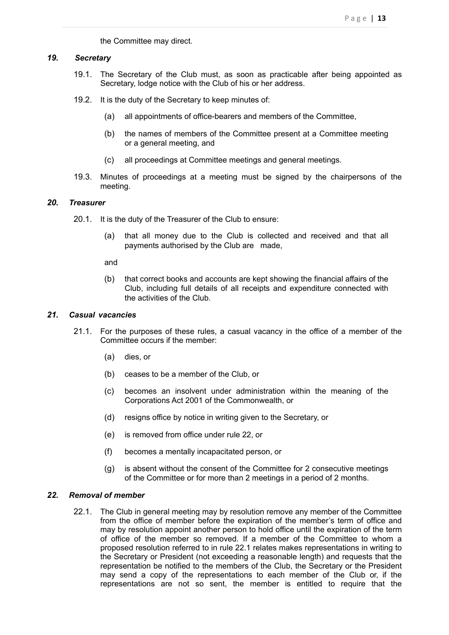the Committee may direct.

#### *19. Secretary*

- <span id="page-12-0"></span>19.1. The Secretary of the Club must, as soon as practicable after being appointed as Secretary, lodge notice with the Club of his or her address.
- 19.2. It is the duty of the Secretary to keep minutes of:
	- (a) all appointments of office-bearers and members of the Committee,
	- (b) the names of members of the Committee present at a Committee meeting or a general meeting, and
	- (c) all proceedings at Committee meetings and general meetings.
- 19.3. Minutes of proceedings at a meeting must be signed by the chairpersons of the meeting.

### *20. Treasurer*

- <span id="page-12-1"></span>20.1. It is the duty of the Treasurer of the Club to ensure:
	- (a) that all money due to the Club is collected and received and that all payments authorised by the Club are made,

and

(b) that correct books and accounts are kept showing the financial affairs of the Club, including full details of all receipts and expenditure connected with the activities of the Club.

## *21. Casual vacancies*

- <span id="page-12-2"></span>21.1. For the purposes of these rules, a casual vacancy in the office of a member of the Committee occurs if the member:
	- (a) dies, or
	- (b) ceases to be a member of the Club, or
	- (c) becomes an insolvent under administration within the meaning of the Corporations Act 2001 of the Commonwealth, or
	- (d) resigns office by notice in writing given to the Secretary, or
	- (e) is removed from office under rule 22, or
	- (f) becomes a mentally incapacitated person, or
	- (g) is absent without the consent of the Committee for 2 consecutive meetings of the Committee or for more than 2 meetings in a period of 2 months.

#### *22. Removal of member*

<span id="page-12-3"></span>22.1. The Club in general meeting may by resolution remove any member of the Committee from the office of member before the expiration of the member's term of office and may by resolution appoint another person to hold office until the expiration of the term of office of the member so removed. If a member of the Committee to whom a proposed resolution referred to in rule 22.1 relates makes representations in writing to the Secretary or President (not exceeding a reasonable length) and requests that the representation be notified to the members of the Club, the Secretary or the President may send a copy of the representations to each member of the Club or, if the representations are not so sent, the member is entitled to require that the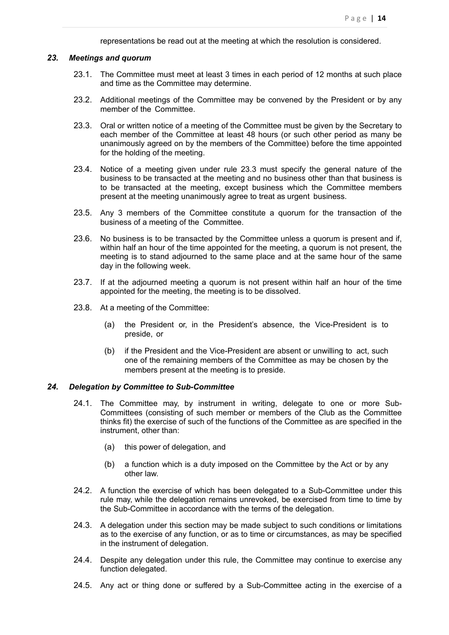representations be read out at the meeting at which the resolution is considered.

#### *23. Meetings and quorum*

- <span id="page-13-0"></span>23.1. The Committee must meet at least 3 times in each period of 12 months at such place and time as the Committee may determine.
- 23.2. Additional meetings of the Committee may be convened by the President or by any member of the Committee.
- 23.3. Oral or written notice of a meeting of the Committee must be given by the Secretary to each member of the Committee at least 48 hours (or such other period as many be unanimously agreed on by the members of the Committee) before the time appointed for the holding of the meeting.
- 23.4. Notice of a meeting given under rule 23.3 must specify the general nature of the business to be transacted at the meeting and no business other than that business is to be transacted at the meeting, except business which the Committee members present at the meeting unanimously agree to treat as urgent business.
- 23.5. Any 3 members of the Committee constitute a quorum for the transaction of the business of a meeting of the Committee.
- 23.6. No business is to be transacted by the Committee unless a quorum is present and if, within half an hour of the time appointed for the meeting, a quorum is not present, the meeting is to stand adjourned to the same place and at the same hour of the same day in the following week.
- 23.7. If at the adjourned meeting a quorum is not present within half an hour of the time appointed for the meeting, the meeting is to be dissolved.
- 23.8. At a meeting of the Committee:
	- (a) the President or, in the President's absence, the Vice-President is to preside, or
	- (b) if the President and the Vice-President are absent or unwilling to act, such one of the remaining members of the Committee as may be chosen by the members present at the meeting is to preside.

#### *24. Delegation by Committee to Sub-Committee*

- <span id="page-13-1"></span>24.1. The Committee may, by instrument in writing, delegate to one or more Sub-Committees (consisting of such member or members of the Club as the Committee thinks fit) the exercise of such of the functions of the Committee as are specified in the instrument, other than:
	- (a) this power of delegation, and
	- (b) a function which is a duty imposed on the Committee by the Act or by any other law.
- 24.2. A function the exercise of which has been delegated to a Sub-Committee under this rule may, while the delegation remains unrevoked, be exercised from time to time by the Sub-Committee in accordance with the terms of the delegation.
- 24.3. A delegation under this section may be made subject to such conditions or limitations as to the exercise of any function, or as to time or circumstances, as may be specified in the instrument of delegation.
- 24.4. Despite any delegation under this rule, the Committee may continue to exercise any function delegated.
- 24.5. Any act or thing done or suffered by a Sub-Committee acting in the exercise of a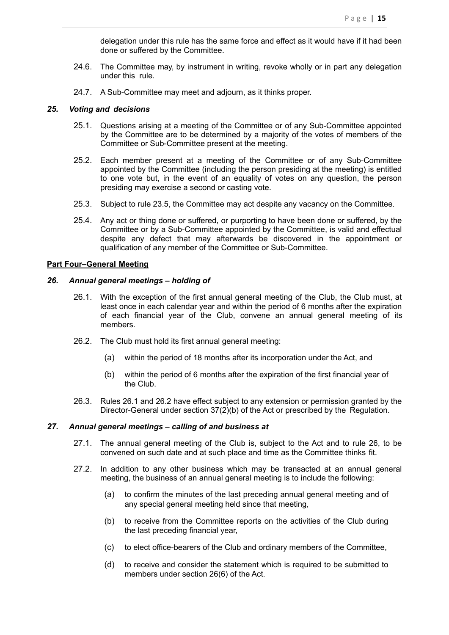delegation under this rule has the same force and effect as it would have if it had been done or suffered by the Committee.

- 24.6. The Committee may, by instrument in writing, revoke wholly or in part any delegation under this rule.
- <span id="page-14-0"></span>24.7. A Sub-Committee may meet and adjourn, as it thinks proper.

#### *25. Voting and decisions*

- 25.1. Questions arising at a meeting of the Committee or of any Sub-Committee appointed by the Committee are to be determined by a majority of the votes of members of the Committee or Sub-Committee present at the meeting.
- 25.2. Each member present at a meeting of the Committee or of any Sub-Committee appointed by the Committee (including the person presiding at the meeting) is entitled to one vote but, in the event of an equality of votes on any question, the person presiding may exercise a second or casting vote.
- 25.3. Subject to rule 23.5, the Committee may act despite any vacancy on the Committee.
- 25.4. Any act or thing done or suffered, or purporting to have been done or suffered, by the Committee or by a Sub-Committee appointed by the Committee, is valid and effectual despite any defect that may afterwards be discovered in the appointment or qualification of any member of the Committee or Sub-Committee.

#### <span id="page-14-1"></span>**Part Four–General Meeting**

### *26. Annual general meetings – holding of*

- <span id="page-14-2"></span>26.1. With the exception of the first annual general meeting of the Club, the Club must, at least once in each calendar year and within the period of 6 months after the expiration of each financial year of the Club, convene an annual general meeting of its members.
- 26.2. The Club must hold its first annual general meeting:
	- (a) within the period of 18 months after its incorporation under the Act, and
	- (b) within the period of 6 months after the expiration of the first financial year of the Club.
- 26.3. Rules 26.1 and 26.2 have effect subject to any extension or permission granted by the Director-General under section 37(2)(b) of the Act or prescribed by the Regulation.

#### *27. Annual general meetings – calling of and business at*

- <span id="page-14-3"></span>27.1. The annual general meeting of the Club is, subject to the Act and to rule 26, to be convened on such date and at such place and time as the Committee thinks fit.
- 27.2. In addition to any other business which may be transacted at an annual general meeting, the business of an annual general meeting is to include the following:
	- (a) to confirm the minutes of the last preceding annual general meeting and of any special general meeting held since that meeting,
	- (b) to receive from the Committee reports on the activities of the Club during the last preceding financial year,
	- (c) to elect office-bearers of the Club and ordinary members of the Committee,
	- (d) to receive and consider the statement which is required to be submitted to members under section 26(6) of the Act.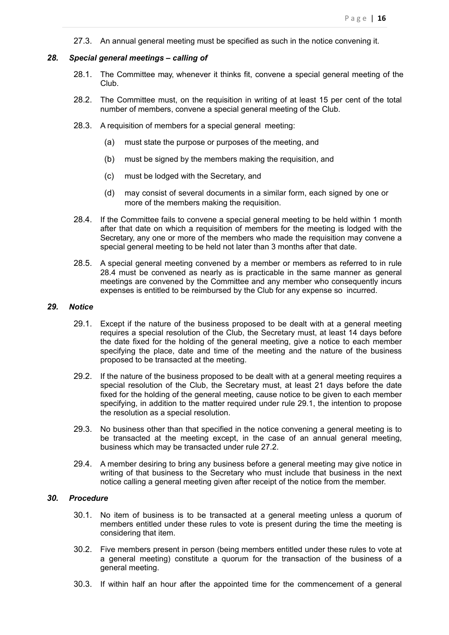<span id="page-15-0"></span>27.3. An annual general meeting must be specified as such in the notice convening it.

#### *28. Special general meetings – calling of*

- 28.1. The Committee may, whenever it thinks fit, convene a special general meeting of the Club.
- 28.2. The Committee must, on the requisition in writing of at least 15 per cent of the total number of members, convene a special general meeting of the Club.
- 28.3. A requisition of members for a special general meeting:
	- (a) must state the purpose or purposes of the meeting, and
	- (b) must be signed by the members making the requisition, and
	- (c) must be lodged with the Secretary, and
	- (d) may consist of several documents in a similar form, each signed by one or more of the members making the requisition.
- 28.4. If the Committee fails to convene a special general meeting to be held within 1 month after that date on which a requisition of members for the meeting is lodged with the Secretary, any one or more of the members who made the requisition may convene a special general meeting to be held not later than 3 months after that date.
- 28.5. A special general meeting convened by a member or members as referred to in rule 28.4 must be convened as nearly as is practicable in the same manner as general meetings are convened by the Committee and any member who consequently incurs expenses is entitled to be reimbursed by the Club for any expense so incurred.

#### *29. Notice*

- <span id="page-15-1"></span>29.1. Except if the nature of the business proposed to be dealt with at a general meeting requires a special resolution of the Club, the Secretary must, at least 14 days before the date fixed for the holding of the general meeting, give a notice to each member specifying the place, date and time of the meeting and the nature of the business proposed to be transacted at the meeting.
- 29.2. If the nature of the business proposed to be dealt with at a general meeting requires a special resolution of the Club, the Secretary must, at least 21 days before the date fixed for the holding of the general meeting, cause notice to be given to each member specifying, in addition to the matter required under rule 29.1, the intention to propose the resolution as a special resolution.
- 29.3. No business other than that specified in the notice convening a general meeting is to be transacted at the meeting except, in the case of an annual general meeting, business which may be transacted under rule 27.2.
- 29.4. A member desiring to bring any business before a general meeting may give notice in writing of that business to the Secretary who must include that business in the next notice calling a general meeting given after receipt of the notice from the member.

## *30. Procedure*

- <span id="page-15-2"></span>30.1. No item of business is to be transacted at a general meeting unless a quorum of members entitled under these rules to vote is present during the time the meeting is considering that item.
- 30.2. Five members present in person (being members entitled under these rules to vote at a general meeting) constitute a quorum for the transaction of the business of a general meeting.
- 30.3. If within half an hour after the appointed time for the commencement of a general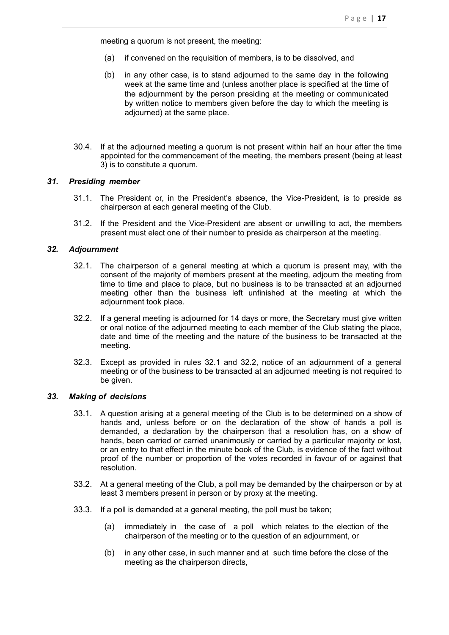meeting a quorum is not present, the meeting:

- (a) if convened on the requisition of members, is to be dissolved, and
- (b) in any other case, is to stand adjourned to the same day in the following week at the same time and (unless another place is specified at the time of the adjournment by the person presiding at the meeting or communicated by written notice to members given before the day to which the meeting is adjourned) at the same place.
- 30.4. If at the adjourned meeting a quorum is not present within half an hour after the time appointed for the commencement of the meeting, the members present (being at least 3) is to constitute a quorum.

#### *31. Presiding member*

- <span id="page-16-0"></span>31.1. The President or, in the President's absence, the Vice-President, is to preside as chairperson at each general meeting of the Club.
- 31.2. If the President and the Vice-President are absent or unwilling to act, the members present must elect one of their number to preside as chairperson at the meeting.

## *32. Adjournment*

- <span id="page-16-1"></span>32.1. The chairperson of a general meeting at which a quorum is present may, with the consent of the majority of members present at the meeting, adjourn the meeting from time to time and place to place, but no business is to be transacted at an adjourned meeting other than the business left unfinished at the meeting at which the adjournment took place.
- 32.2. If a general meeting is adjourned for 14 days or more, the Secretary must give written or oral notice of the adjourned meeting to each member of the Club stating the place, date and time of the meeting and the nature of the business to be transacted at the meeting.
- 32.3. Except as provided in rules 32.1 and 32.2, notice of an adjournment of a general meeting or of the business to be transacted at an adjourned meeting is not required to be given.

#### *33. Making of decisions*

- <span id="page-16-2"></span>33.1. A question arising at a general meeting of the Club is to be determined on a show of hands and, unless before or on the declaration of the show of hands a poll is demanded, a declaration by the chairperson that a resolution has, on a show of hands, been carried or carried unanimously or carried by a particular majority or lost, or an entry to that effect in the minute book of the Club, is evidence of the fact without proof of the number or proportion of the votes recorded in favour of or against that resolution.
- 33.2. At a general meeting of the Club, a poll may be demanded by the chairperson or by at least 3 members present in person or by proxy at the meeting.
- 33.3. If a poll is demanded at a general meeting, the poll must be taken;
	- (a) immediately in the case of a poll which relates to the election of the chairperson of the meeting or to the question of an adjournment, or
	- (b) in any other case, in such manner and at such time before the close of the meeting as the chairperson directs,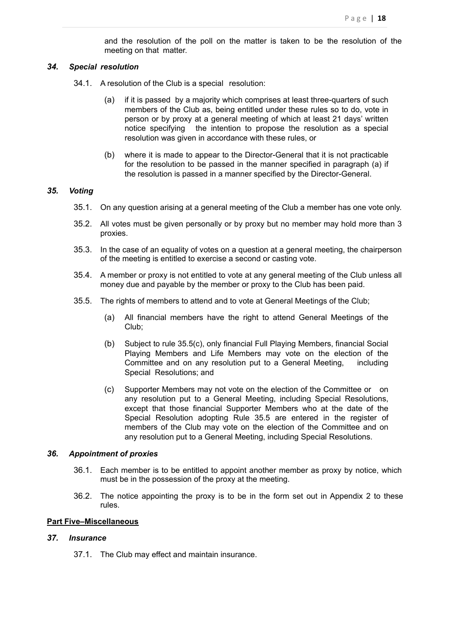and the resolution of the poll on the matter is taken to be the resolution of the meeting on that matter.

#### *34. Special resolution*

- <span id="page-17-0"></span>34.1. A resolution of the Club is a special resolution:
	- (a) if it is passed by a majority which comprises at least three-quarters of such members of the Club as, being entitled under these rules so to do, vote in person or by proxy at a general meeting of which at least 21 days' written notice specifying the intention to propose the resolution as a special resolution was given in accordance with these rules, or
	- (b) where it is made to appear to the Director-General that it is not practicable for the resolution to be passed in the manner specified in paragraph (a) if the resolution is passed in a manner specified by the Director-General.

#### *35. Voting*

- <span id="page-17-1"></span>35.1. On any question arising at a general meeting of the Club a member has one vote only.
- 35.2. All votes must be given personally or by proxy but no member may hold more than 3 proxies.
- 35.3. In the case of an equality of votes on a question at a general meeting, the chairperson of the meeting is entitled to exercise a second or casting vote.
- 35.4. A member or proxy is not entitled to vote at any general meeting of the Club unless all money due and payable by the member or proxy to the Club has been paid.
- 35.5. The rights of members to attend and to vote at General Meetings of the Club;
	- (a) All financial members have the right to attend General Meetings of the Club;
	- (b) Subject to rule 35.5(c), only financial Full Playing Members, financial Social Playing Members and Life Members may vote on the election of the Committee and on any resolution put to a General Meeting, including Special Resolutions; and
	- (c) Supporter Members may not vote on the election of the Committee or on any resolution put to a General Meeting, including Special Resolutions, except that those financial Supporter Members who at the date of the Special Resolution adopting Rule 35.5 are entered in the register of members of the Club may vote on the election of the Committee and on any resolution put to a General Meeting, including Special Resolutions.

#### *36. Appointment of proxies*

- <span id="page-17-2"></span>36.1. Each member is to be entitled to appoint another member as proxy by notice, which must be in the possession of the proxy at the meeting.
- 36.2. The notice appointing the proxy is to be in the form set out in Appendix 2 to these rules.

## <span id="page-17-3"></span>**Part Five–Miscellaneous**

#### *37. Insurance*

<span id="page-17-4"></span>37.1. The Club may effect and maintain insurance.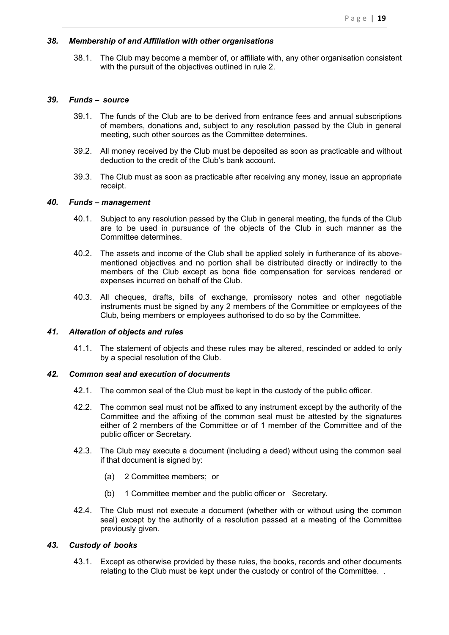#### *38. Membership of and Affiliation with other organisations*

<span id="page-18-0"></span>38.1. The Club may become a member of, or affiliate with, any other organisation consistent with the pursuit of the objectives outlined in rule 2.

#### *39. Funds – source*

- <span id="page-18-1"></span>39.1. The funds of the Club are to be derived from entrance fees and annual subscriptions of members, donations and, subject to any resolution passed by the Club in general meeting, such other sources as the Committee determines.
- 39.2. All money received by the Club must be deposited as soon as practicable and without deduction to the credit of the Club's bank account.
- 39.3. The Club must as soon as practicable after receiving any money, issue an appropriate receipt.

#### *40. Funds – management*

- <span id="page-18-2"></span>40.1. Subject to any resolution passed by the Club in general meeting, the funds of the Club are to be used in pursuance of the objects of the Club in such manner as the Committee determines.
- 40.2. The assets and income of the Club shall be applied solely in furtherance of its abovementioned objectives and no portion shall be distributed directly or indirectly to the members of the Club except as bona fide compensation for services rendered or expenses incurred on behalf of the Club.
- 40.3. All cheques, drafts, bills of exchange, promissory notes and other negotiable instruments must be signed by any 2 members of the Committee or employees of the Club, being members or employees authorised to do so by the Committee.

#### *41. Alteration of objects and rules*

<span id="page-18-3"></span>41.1. The statement of objects and these rules may be altered, rescinded or added to only by a special resolution of the Club.

#### *42. Common seal and execution of documents*

- <span id="page-18-4"></span>42.1. The common seal of the Club must be kept in the custody of the public officer.
- 42.2. The common seal must not be affixed to any instrument except by the authority of the Committee and the affixing of the common seal must be attested by the signatures either of 2 members of the Committee or of 1 member of the Committee and of the public officer or Secretary.
- 42.3. The Club may execute a document (including a deed) without using the common seal if that document is signed by:
	- (a) 2 Committee members; or
	- (b) 1 Committee member and the public officer or Secretary.
- 42.4. The Club must not execute a document (whether with or without using the common seal) except by the authority of a resolution passed at a meeting of the Committee previously given.

### *43. Custody of books*

<span id="page-18-5"></span>43.1. Except as otherwise provided by these rules, the books, records and other documents relating to the Club must be kept under the custody or control of the Committee. .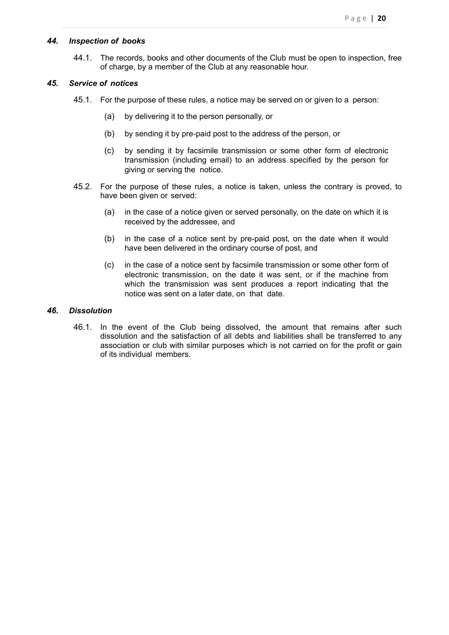#### *44. Inspection of books*

<span id="page-19-0"></span>44.1. The records, books and other documents of the Club must be open to inspection, free of charge, by a member of the Club at any reasonable hour.

#### *45. Service of notices*

- <span id="page-19-1"></span>45.1. For the purpose of these rules, a notice may be served on or given to a person:
	- (a) by delivering it to the person personally, or
	- (b) by sending it by pre-paid post to the address of the person, or
	- (c) by sending it by facsimile transmission or some other form of electronic transmission (including email) to an address specified by the person for giving or serving the notice.
- 45.2. For the purpose of these rules, a notice is taken, unless the contrary is proved, to have been given or served:
	- (a) in the case of a notice given or served personally, on the date on which it is received by the addressee, and
	- (b) in the case of a notice sent by pre-paid post, on the date when it would have been delivered in the ordinary course of post, and
	- (c) in the case of a notice sent by facsimile transmission or some other form of electronic transmission, on the date it was sent, or if the machine from which the transmission was sent produces a report indicating that the notice was sent on a later date, on that date.

#### *46. Dissolution*

<span id="page-19-2"></span>46.1. In the event of the Club being dissolved, the amount that remains after such dissolution and the satisfaction of all debts and liabilities shall be transferred to any association or club with similar purposes which is not carried on for the profit or gain of its individual members.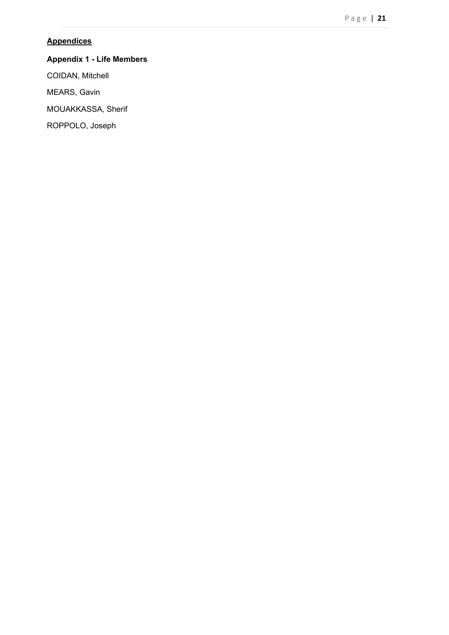## <span id="page-20-0"></span>**Appendices**

# **Appendix 1 - Life Members**

COIDAN, Mitchell

MEARS, Gavin

MOUAKKASSA, Sherif

ROPPOLO, Joseph